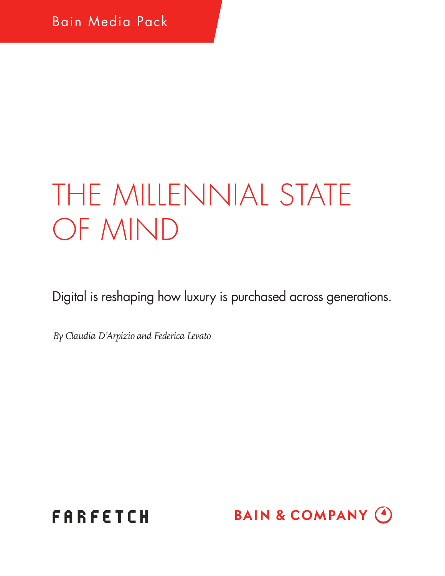# THE MILLENNIAL STATE OF MIND

Digital is reshaping how luxury is purchased across generations.

*By Claudia D'Arpizio and Federica Levato*



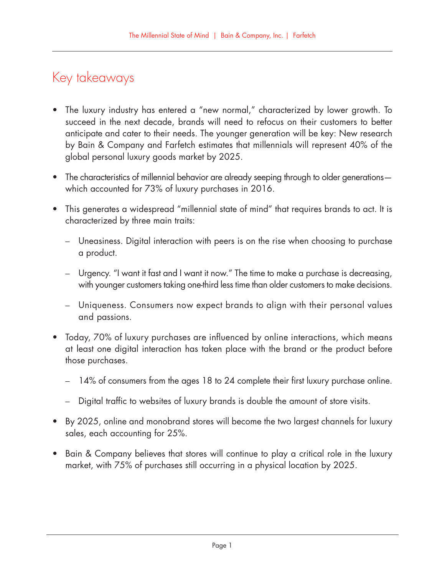## Key takeaways

- The luxury industry has entered a "new normal," characterized by lower growth. To succeed in the next decade, brands will need to refocus on their customers to better anticipate and cater to their needs. The younger generation will be key: New research by Bain & Company and Farfetch estimates that millennials will represent 40% of the global personal luxury goods market by 2025.
- The characteristics of millennial behavior are already seeping through to older generationswhich accounted for 73% of luxury purchases in 2016.
- This generates a widespread "millennial state of mind" that requires brands to act. It is characterized by three main traits:
	- Uneasiness. Digital interaction with peers is on the rise when choosing to purchase a product.
	- Urgency. "I want it fast and I want it now." The time to make a purchase is decreasing, with younger customers taking one-third less time than older customers to make decisions.
	- Uniqueness. Consumers now expect brands to align with their personal values and passions.
- Today, 70% of luxury purchases are influenced by online interactions, which means at least one digital interaction has taken place with the brand or the product before those purchases.
	- 14% of consumers from the ages 18 to 24 complete their first luxury purchase online.
	- Digital traffic to websites of luxury brands is double the amount of store visits.
- By 2025, online and monobrand stores will become the two largest channels for luxury sales, each accounting for 25%.
- Bain & Company believes that stores will continue to play a critical role in the luxury market, with 75% of purchases still occurring in a physical location by 2025.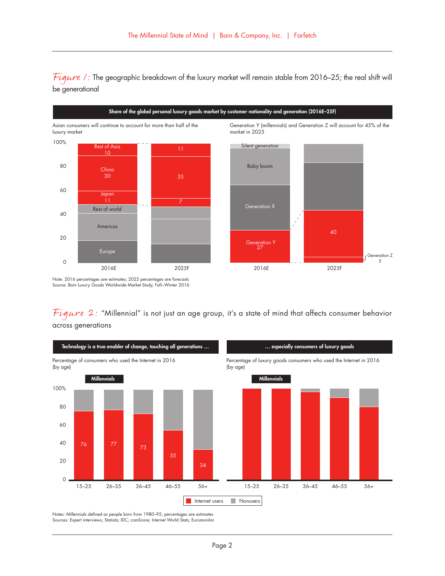Figure 1: The geographic breakdown of the luxury market will remain stable from 2016–25; the real shift will be generational



Note: 2016 percentages are estimates; 2025 percentages are forecasts Source: Bain Luxury Goods Worldwide Market Study, Fall−Winter 2016

Figure 2: "Millennial" is not just an age group, it's a state of mind that affects consumer behavior across generations



Notes: Millennials defined as people born from 1980–95; percentages are estimates Sources: Expert interviews; Statista; IDC; comScore; Internet World Stats; Euromonitor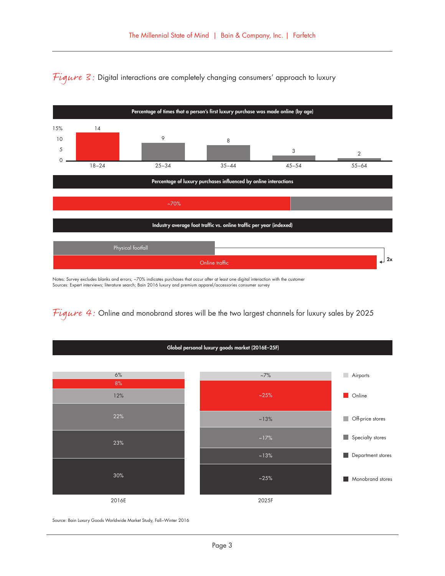

Figure  $3$ : Digital interactions are completely changing consumers' approach to luxury

Notes: Survey excludes blanks and errors; ~70% indicates purchases that occur after at least one digital interaction with the customer Sources: Expert interviews; literature search; Bain 2016 luxury and premium apparel/accessories consumer survey

Figure 4: Online and monobrand stores will be the two largest channels for luxury sales by 2025

Global personal luxury goods market (2016E–25F)



Source: Bain Luxury Goods Worldwide Market Study, Fall−Winter 2016

Page 3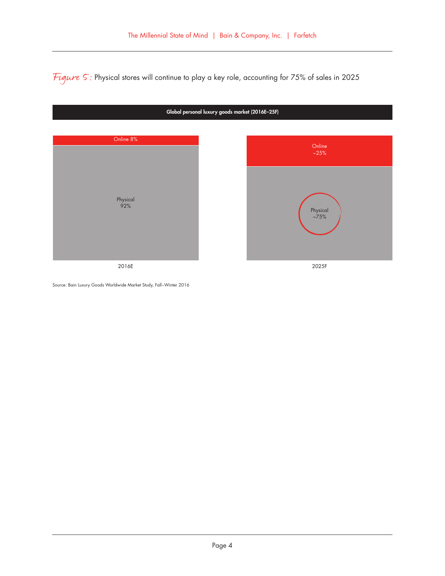Figure 5: Physical stores will continue to play a key role, accounting for 75% of sales in 2025



Source: Bain Luxury Goods Worldwide Market Study, Fall−Winter 2016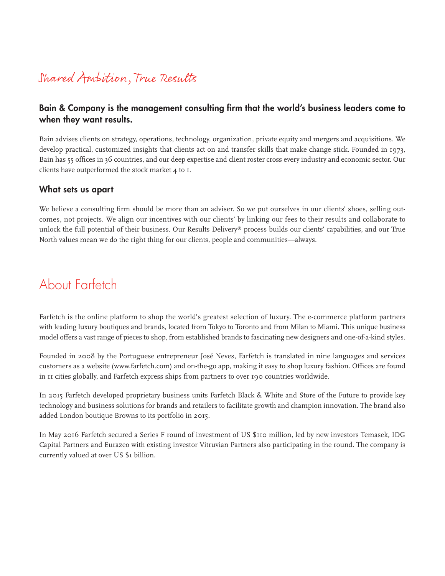## Shared Ambition, True Results

#### Bain & Company is the management consulting firm that the world's business leaders come to when they want results.

Bain advises clients on strategy, operations, technology, organization, private equity and mergers and acquisitions. We develop practical, customized insights that clients act on and transfer skills that make change stick. Founded in 1973, Bain has 55 offices in 36 countries, and our deep expertise and client roster cross every industry and economic sector. Our clients have outperformed the stock market 4 to 1.

#### What sets us apart

We believe a consulting firm should be more than an adviser. So we put ourselves in our clients' shoes, selling outcomes, not projects. We align our incentives with our clients' by linking our fees to their results and collaborate to unlock the full potential of their business. Our Results Delivery® process builds our clients' capabilities, and our True North values mean we do the right thing for our clients, people and communities—always.

### About Farfetch

Farfetch is the online platform to shop the world's greatest selection of luxury. The e-commerce platform partners with leading luxury boutiques and brands, located from Tokyo to Toronto and from Milan to Miami. This unique business model offers a vast range of pieces to shop, from established brands to fascinating new designers and one-of-a-kind styles.

Founded in 2008 by the Portuguese entrepreneur José Neves, Farfetch is translated in nine languages and services customers as a website (www.farfetch.com) and on-the-go app, making it easy to shop luxury fashion. Offices are found in 11 cities globally, and Farfetch express ships from partners to over 190 countries worldwide.

In 2015 Farfetch developed proprietary business units Farfetch Black & White and Store of the Future to provide key technology and business solutions for brands and retailers to facilitate growth and champion innovation. The brand also added London boutique Browns to its portfolio in 2015.

In May 2016 Farfetch secured a Series F round of investment of US \$110 million, led by new investors Temasek, IDG Capital Partners and Eurazeo with existing investor Vitruvian Partners also participating in the round. The company is currently valued at over US \$1 billion.